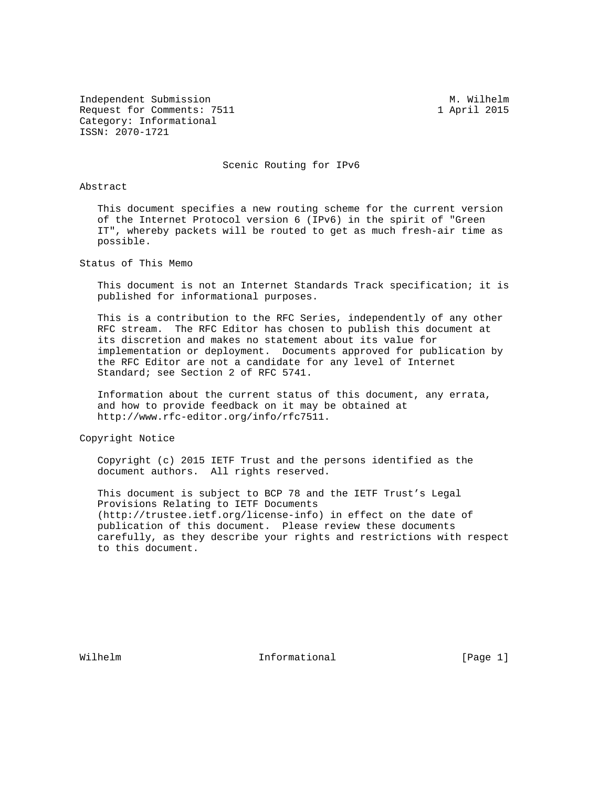Independent Submission M. Wilhelm M. Wilhelm Request for Comments: 7511 1 April 2015 Category: Informational ISSN: 2070-1721

Scenic Routing for IPv6

## Abstract

 This document specifies a new routing scheme for the current version of the Internet Protocol version 6 (IPv6) in the spirit of "Green IT", whereby packets will be routed to get as much fresh-air time as possible.

Status of This Memo

 This document is not an Internet Standards Track specification; it is published for informational purposes.

 This is a contribution to the RFC Series, independently of any other RFC stream. The RFC Editor has chosen to publish this document at its discretion and makes no statement about its value for implementation or deployment. Documents approved for publication by the RFC Editor are not a candidate for any level of Internet Standard; see Section 2 of RFC 5741.

 Information about the current status of this document, any errata, and how to provide feedback on it may be obtained at http://www.rfc-editor.org/info/rfc7511.

Copyright Notice

 Copyright (c) 2015 IETF Trust and the persons identified as the document authors. All rights reserved.

 This document is subject to BCP 78 and the IETF Trust's Legal Provisions Relating to IETF Documents (http://trustee.ietf.org/license-info) in effect on the date of publication of this document. Please review these documents carefully, as they describe your rights and restrictions with respect to this document.

Wilhelm **Informational Informational** [Page 1]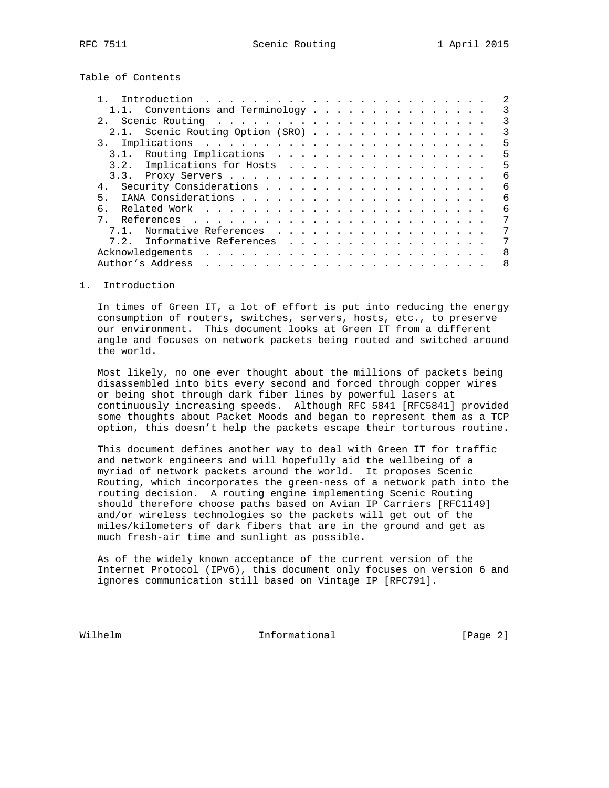Table of Contents

|    | 1.1. Conventions and Terminology                                                                                                                                                                                                                  |  |  |  |  |  |  |  | 3 |
|----|---------------------------------------------------------------------------------------------------------------------------------------------------------------------------------------------------------------------------------------------------|--|--|--|--|--|--|--|---|
|    |                                                                                                                                                                                                                                                   |  |  |  |  |  |  |  | 3 |
|    | 2.1. Scenic Routing Option (SRO)                                                                                                                                                                                                                  |  |  |  |  |  |  |  | 3 |
|    |                                                                                                                                                                                                                                                   |  |  |  |  |  |  |  | 5 |
|    | 3.1. Routing Implications                                                                                                                                                                                                                         |  |  |  |  |  |  |  | 5 |
|    | Implications for Hosts<br>3.2.                                                                                                                                                                                                                    |  |  |  |  |  |  |  | 5 |
|    |                                                                                                                                                                                                                                                   |  |  |  |  |  |  |  | 6 |
| 4. |                                                                                                                                                                                                                                                   |  |  |  |  |  |  |  | 6 |
| 5  |                                                                                                                                                                                                                                                   |  |  |  |  |  |  |  | 6 |
|    |                                                                                                                                                                                                                                                   |  |  |  |  |  |  |  | 6 |
|    |                                                                                                                                                                                                                                                   |  |  |  |  |  |  |  | 7 |
|    | Normative References<br>71                                                                                                                                                                                                                        |  |  |  |  |  |  |  | 7 |
|    | 7.2. Informative References                                                                                                                                                                                                                       |  |  |  |  |  |  |  |   |
|    |                                                                                                                                                                                                                                                   |  |  |  |  |  |  |  | 8 |
|    | Author's Address<br>a construction of the construction of the construction of the construction of the construction of the construction of the construction of the construction of the construction of the construction of the construction of the |  |  |  |  |  |  |  | 8 |

1. Introduction

 In times of Green IT, a lot of effort is put into reducing the energy consumption of routers, switches, servers, hosts, etc., to preserve our environment. This document looks at Green IT from a different angle and focuses on network packets being routed and switched around the world.

 Most likely, no one ever thought about the millions of packets being disassembled into bits every second and forced through copper wires or being shot through dark fiber lines by powerful lasers at continuously increasing speeds. Although RFC 5841 [RFC5841] provided some thoughts about Packet Moods and began to represent them as a TCP option, this doesn't help the packets escape their torturous routine.

 This document defines another way to deal with Green IT for traffic and network engineers and will hopefully aid the wellbeing of a myriad of network packets around the world. It proposes Scenic Routing, which incorporates the green-ness of a network path into the routing decision. A routing engine implementing Scenic Routing should therefore choose paths based on Avian IP Carriers [RFC1149] and/or wireless technologies so the packets will get out of the miles/kilometers of dark fibers that are in the ground and get as much fresh-air time and sunlight as possible.

 As of the widely known acceptance of the current version of the Internet Protocol (IPv6), this document only focuses on version 6 and ignores communication still based on Vintage IP [RFC791].

Wilhelm **Informational Informational** [Page 2]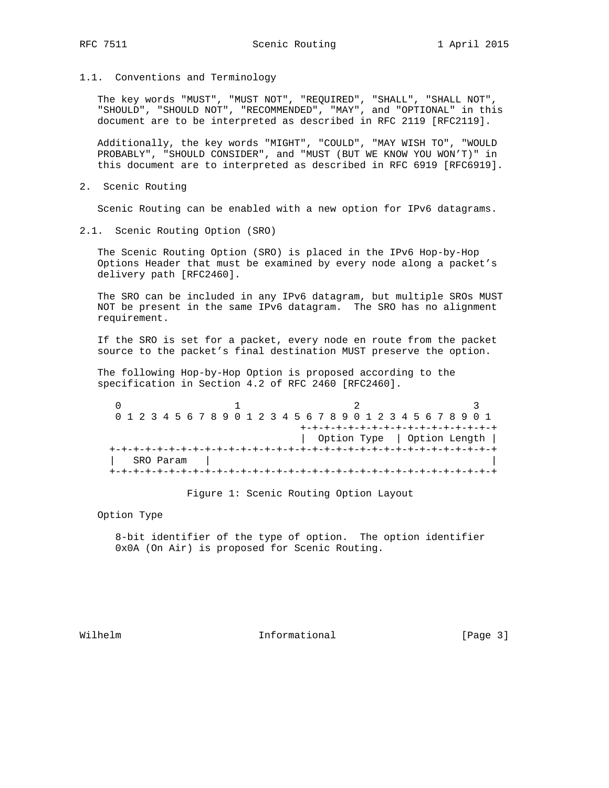1.1. Conventions and Terminology

 The key words "MUST", "MUST NOT", "REQUIRED", "SHALL", "SHALL NOT", "SHOULD", "SHOULD NOT", "RECOMMENDED", "MAY", and "OPTIONAL" in this document are to be interpreted as described in RFC 2119 [RFC2119].

 Additionally, the key words "MIGHT", "COULD", "MAY WISH TO", "WOULD PROBABLY", "SHOULD CONSIDER", and "MUST (BUT WE KNOW YOU WON'T)" in this document are to interpreted as described in RFC 6919 [RFC6919].

2. Scenic Routing

Scenic Routing can be enabled with a new option for IPv6 datagrams.

2.1. Scenic Routing Option (SRO)

 The Scenic Routing Option (SRO) is placed in the IPv6 Hop-by-Hop Options Header that must be examined by every node along a packet's delivery path [RFC2460].

 The SRO can be included in any IPv6 datagram, but multiple SROs MUST NOT be present in the same IPv6 datagram. The SRO has no alignment requirement.

 If the SRO is set for a packet, every node en route from the packet source to the packet's final destination MUST preserve the option.

 The following Hop-by-Hop Option is proposed according to the specification in Section 4.2 of RFC 2460 [RFC2460].

|  |  |  |           |  |  |  |  |  |  |  |  |  |  |  | 0 1 2 3 4 5 6 7 8 9 0 1 2 3 4 5 6 7 8 9 0 1 2 3 4 5 6 7 8 9 0 1 |  |  |  |  |  |  |  |  |  |  |  |  |  |                             |  |
|--|--|--|-----------|--|--|--|--|--|--|--|--|--|--|--|-----------------------------------------------------------------|--|--|--|--|--|--|--|--|--|--|--|--|--|-----------------------------|--|
|  |  |  |           |  |  |  |  |  |  |  |  |  |  |  | +-+-+-+-+-+-+-+-+-+-+-+-+-+-+-+-+                               |  |  |  |  |  |  |  |  |  |  |  |  |  |                             |  |
|  |  |  |           |  |  |  |  |  |  |  |  |  |  |  |                                                                 |  |  |  |  |  |  |  |  |  |  |  |  |  | Option Type   Option Length |  |
|  |  |  |           |  |  |  |  |  |  |  |  |  |  |  |                                                                 |  |  |  |  |  |  |  |  |  |  |  |  |  |                             |  |
|  |  |  | SRO Param |  |  |  |  |  |  |  |  |  |  |  |                                                                 |  |  |  |  |  |  |  |  |  |  |  |  |  |                             |  |
|  |  |  |           |  |  |  |  |  |  |  |  |  |  |  |                                                                 |  |  |  |  |  |  |  |  |  |  |  |  |  |                             |  |

Figure 1: Scenic Routing Option Layout

Option Type

 8-bit identifier of the type of option. The option identifier 0x0A (On Air) is proposed for Scenic Routing.

Wilhelm **Informational Informational** [Page 3]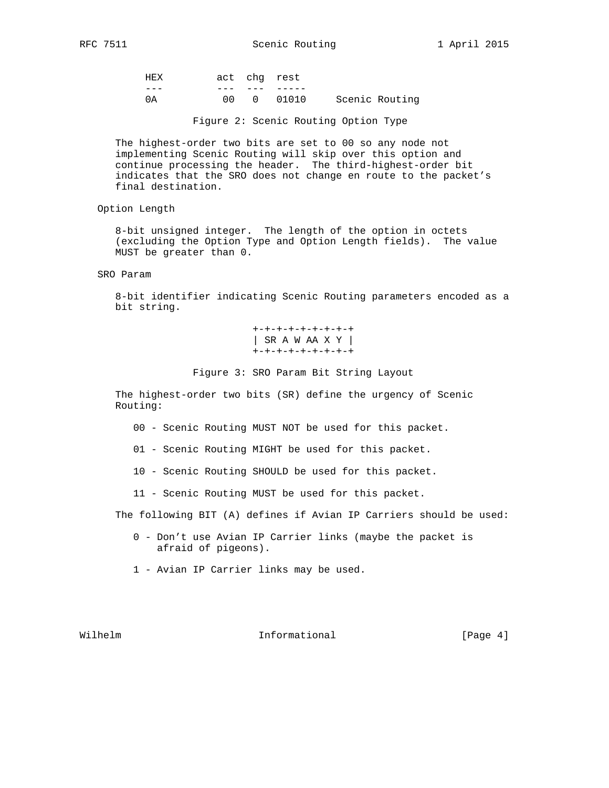| HEX |  | act chq rest |                |
|-----|--|--------------|----------------|
|     |  |              |                |
|     |  |              | Scenic Routing |

Figure 2: Scenic Routing Option Type

 The highest-order two bits are set to 00 so any node not implementing Scenic Routing will skip over this option and continue processing the header. The third-highest-order bit indicates that the SRO does not change en route to the packet's final destination.

Option Length

 8-bit unsigned integer. The length of the option in octets (excluding the Option Type and Option Length fields). The value MUST be greater than 0.

SRO Param

 8-bit identifier indicating Scenic Routing parameters encoded as a bit string.

> +-+-+-+-+-+-+-+-+ | SR A W AA X Y | +-+-+-+-+-+-+-+-+

Figure 3: SRO Param Bit String Layout

 The highest-order two bits (SR) define the urgency of Scenic Routing:

- 00 Scenic Routing MUST NOT be used for this packet.
- 01 Scenic Routing MIGHT be used for this packet.
- 10 Scenic Routing SHOULD be used for this packet.
- 11 Scenic Routing MUST be used for this packet.

The following BIT (A) defines if Avian IP Carriers should be used:

- 0 Don't use Avian IP Carrier links (maybe the packet is afraid of pigeons).
- 1 Avian IP Carrier links may be used.

## Wilhelm **Informational Informational** [Page 4]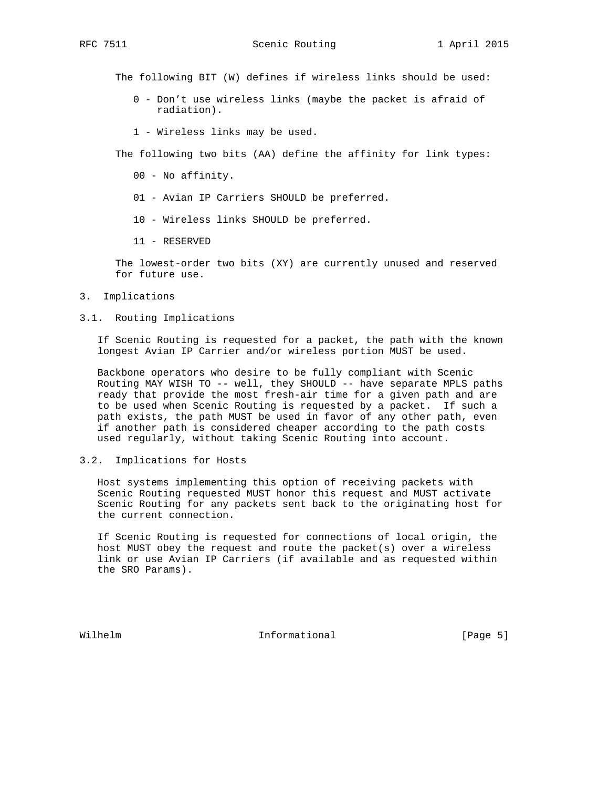RFC 7511 Scenic Routing 1 April 2015

The following BIT (W) defines if wireless links should be used:

- 0 Don't use wireless links (maybe the packet is afraid of radiation).
- 1 Wireless links may be used.

The following two bits (AA) define the affinity for link types:

- 00 No affinity.
- 01 Avian IP Carriers SHOULD be preferred.
- 10 Wireless links SHOULD be preferred.
- 11 RESERVED

 The lowest-order two bits (XY) are currently unused and reserved for future use.

- 3. Implications
- 3.1. Routing Implications

 If Scenic Routing is requested for a packet, the path with the known longest Avian IP Carrier and/or wireless portion MUST be used.

 Backbone operators who desire to be fully compliant with Scenic Routing MAY WISH TO -- well, they SHOULD -- have separate MPLS paths ready that provide the most fresh-air time for a given path and are to be used when Scenic Routing is requested by a packet. If such a path exists, the path MUST be used in favor of any other path, even if another path is considered cheaper according to the path costs used regularly, without taking Scenic Routing into account.

3.2. Implications for Hosts

 Host systems implementing this option of receiving packets with Scenic Routing requested MUST honor this request and MUST activate Scenic Routing for any packets sent back to the originating host for the current connection.

 If Scenic Routing is requested for connections of local origin, the host MUST obey the request and route the packet(s) over a wireless link or use Avian IP Carriers (if available and as requested within the SRO Params).

Wilhelm **Informational Informational** [Page 5]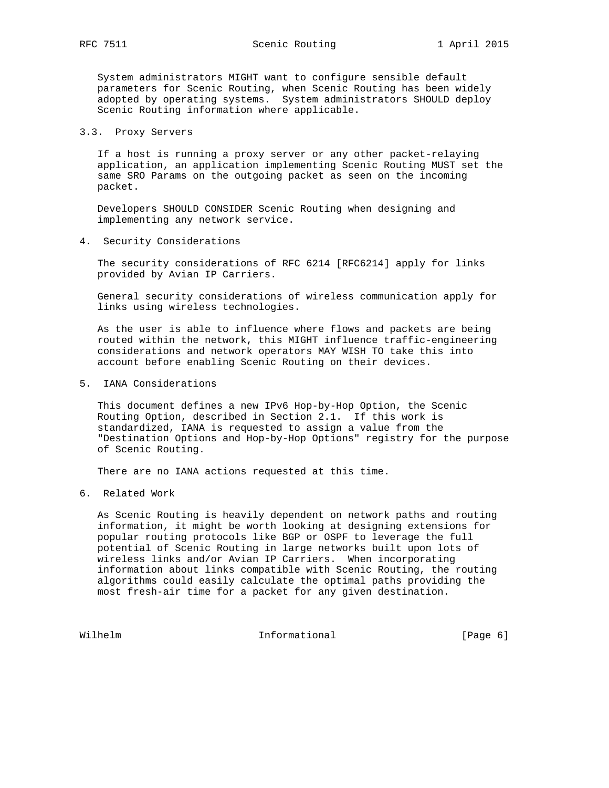System administrators MIGHT want to configure sensible default parameters for Scenic Routing, when Scenic Routing has been widely adopted by operating systems. System administrators SHOULD deploy Scenic Routing information where applicable.

## 3.3. Proxy Servers

 If a host is running a proxy server or any other packet-relaying application, an application implementing Scenic Routing MUST set the same SRO Params on the outgoing packet as seen on the incoming packet.

 Developers SHOULD CONSIDER Scenic Routing when designing and implementing any network service.

4. Security Considerations

 The security considerations of RFC 6214 [RFC6214] apply for links provided by Avian IP Carriers.

 General security considerations of wireless communication apply for links using wireless technologies.

 As the user is able to influence where flows and packets are being routed within the network, this MIGHT influence traffic-engineering considerations and network operators MAY WISH TO take this into account before enabling Scenic Routing on their devices.

5. IANA Considerations

 This document defines a new IPv6 Hop-by-Hop Option, the Scenic Routing Option, described in Section 2.1. If this work is standardized, IANA is requested to assign a value from the "Destination Options and Hop-by-Hop Options" registry for the purpose of Scenic Routing.

There are no IANA actions requested at this time.

6. Related Work

 As Scenic Routing is heavily dependent on network paths and routing information, it might be worth looking at designing extensions for popular routing protocols like BGP or OSPF to leverage the full potential of Scenic Routing in large networks built upon lots of wireless links and/or Avian IP Carriers. When incorporating information about links compatible with Scenic Routing, the routing algorithms could easily calculate the optimal paths providing the most fresh-air time for a packet for any given destination.

Wilhelm **Informational Informational** [Page 6]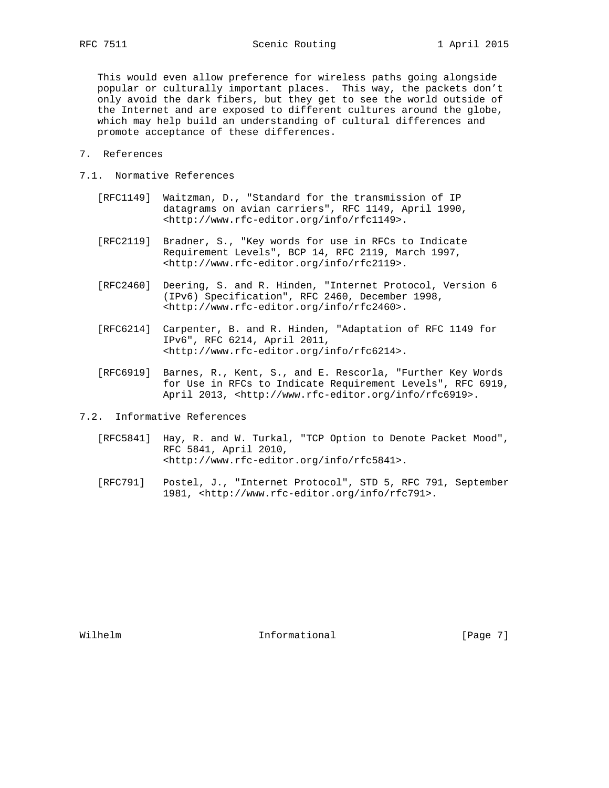This would even allow preference for wireless paths going alongside popular or culturally important places. This way, the packets don't only avoid the dark fibers, but they get to see the world outside of the Internet and are exposed to different cultures around the globe, which may help build an understanding of cultural differences and promote acceptance of these differences.

- 7. References
- 7.1. Normative References
	- [RFC1149] Waitzman, D., "Standard for the transmission of IP datagrams on avian carriers", RFC 1149, April 1990, <http://www.rfc-editor.org/info/rfc1149>.
	- [RFC2119] Bradner, S., "Key words for use in RFCs to Indicate Requirement Levels", BCP 14, RFC 2119, March 1997, <http://www.rfc-editor.org/info/rfc2119>.
	- [RFC2460] Deering, S. and R. Hinden, "Internet Protocol, Version 6 (IPv6) Specification", RFC 2460, December 1998, <http://www.rfc-editor.org/info/rfc2460>.
	- [RFC6214] Carpenter, B. and R. Hinden, "Adaptation of RFC 1149 for IPv6", RFC 6214, April 2011, <http://www.rfc-editor.org/info/rfc6214>.
	- [RFC6919] Barnes, R., Kent, S., and E. Rescorla, "Further Key Words for Use in RFCs to Indicate Requirement Levels", RFC 6919, April 2013, <http://www.rfc-editor.org/info/rfc6919>.
- 7.2. Informative References
	- [RFC5841] Hay, R. and W. Turkal, "TCP Option to Denote Packet Mood", RFC 5841, April 2010, <http://www.rfc-editor.org/info/rfc5841>.
	- [RFC791] Postel, J., "Internet Protocol", STD 5, RFC 791, September 1981, <http://www.rfc-editor.org/info/rfc791>.

Wilhelm **Informational** Informational [Page 7]